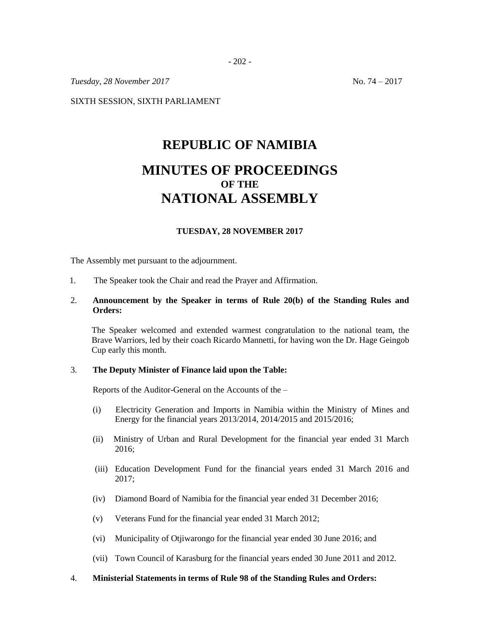*Tuesday, 28 November 2017* No. 74 – 2017

SIXTH SESSION, SIXTH PARLIAMENT

# **REPUBLIC OF NAMIBIA MINUTES OF PROCEEDINGS OF THE NATIONAL ASSEMBLY**

# **TUESDAY, 28 NOVEMBER 2017**

The Assembly met pursuant to the adjournment.

1. The Speaker took the Chair and read the Prayer and Affirmation.

### 2. **Announcement by the Speaker in terms of Rule 20(b) of the Standing Rules and Orders:**

The Speaker welcomed and extended warmest congratulation to the national team, the Brave Warriors, led by their coach Ricardo Mannetti, for having won the Dr. Hage Geingob Cup early this month.

#### 3. **The Deputy Minister of Finance laid upon the Table:**

Reports of the Auditor-General on the Accounts of the –

- (i) Electricity Generation and Imports in Namibia within the Ministry of Mines and Energy for the financial years 2013/2014, 2014/2015 and 2015/2016;
- (ii) Ministry of Urban and Rural Development for the financial year ended 31 March 2016;
- (iii) Education Development Fund for the financial years ended 31 March 2016 and 2017;
- (iv) Diamond Board of Namibia for the financial year ended 31 December 2016;
- (v) Veterans Fund for the financial year ended 31 March 2012;
- (vi) Municipality of Otjiwarongo for the financial year ended 30 June 2016; and
- (vii) Town Council of Karasburg for the financial years ended 30 June 2011 and 2012.
- 4. **Ministerial Statements in terms of Rule 98 of the Standing Rules and Orders:**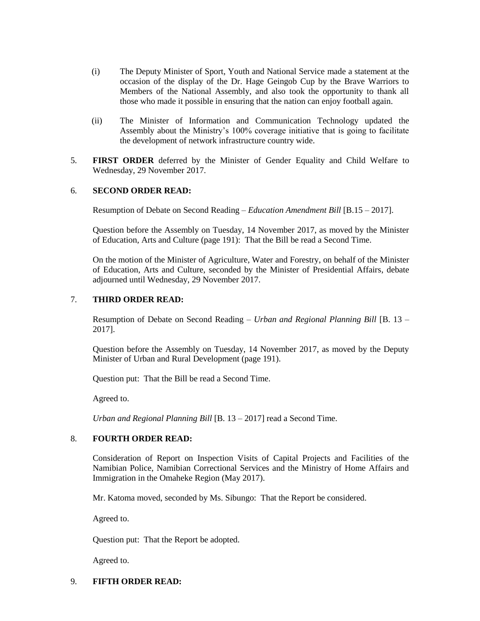- (i) The Deputy Minister of Sport, Youth and National Service made a statement at the occasion of the display of the Dr. Hage Geingob Cup by the Brave Warriors to Members of the National Assembly, and also took the opportunity to thank all those who made it possible in ensuring that the nation can enjoy football again.
- (ii) The Minister of Information and Communication Technology updated the Assembly about the Ministry's 100% coverage initiative that is going to facilitate the development of network infrastructure country wide.
- 5. **FIRST ORDER** deferred by the Minister of Gender Equality and Child Welfare to Wednesday, 29 November 2017.

### 6. **SECOND ORDER READ:**

Resumption of Debate on Second Reading – *Education Amendment Bill* [B.15 – 2017].

Question before the Assembly on Tuesday, 14 November 2017, as moved by the Minister of Education, Arts and Culture (page 191): That the Bill be read a Second Time.

On the motion of the Minister of Agriculture, Water and Forestry, on behalf of the Minister of Education, Arts and Culture, seconded by the Minister of Presidential Affairs, debate adjourned until Wednesday, 29 November 2017.

## 7. **THIRD ORDER READ:**

Resumption of Debate on Second Reading – *Urban and Regional Planning Bill* [B. 13 – 2017].

Question before the Assembly on Tuesday, 14 November 2017, as moved by the Deputy Minister of Urban and Rural Development (page 191).

Question put: That the Bill be read a Second Time.

Agreed to.

*Urban and Regional Planning Bill* [B. 13 – 2017] read a Second Time.

#### 8. **FOURTH ORDER READ:**

Consideration of Report on Inspection Visits of Capital Projects and Facilities of the Namibian Police, Namibian Correctional Services and the Ministry of Home Affairs and Immigration in the Omaheke Region (May 2017).

Mr. Katoma moved, seconded by Ms. Sibungo: That the Report be considered.

Agreed to.

Question put: That the Report be adopted.

Agreed to.

#### 9. **FIFTH ORDER READ:**